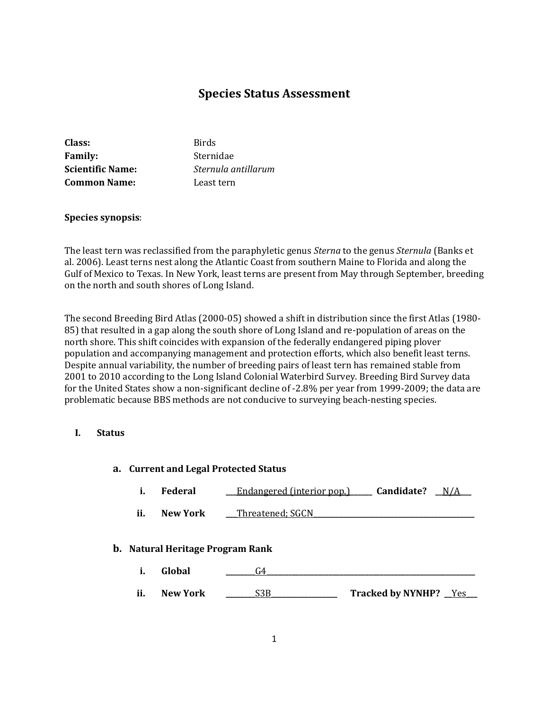# **Species Status Assessment**

| Class:                  | <b>Birds</b>        |
|-------------------------|---------------------|
| <b>Family:</b>          | Sternidae           |
| <b>Scientific Name:</b> | Sternula antillarum |
| <b>Common Name:</b>     | Least tern          |

## **Species synopsis**:

The least tern was reclassified from the paraphyletic genus *Sterna* to the genus *Sternula* (Banks et al. 2006). Least terns nest along the Atlantic Coast from southern Maine to Florida and along the Gulf of Mexico to Texas. In New York, least terns are present from May through September, breeding on the north and south shores of Long Island.

The second Breeding Bird Atlas (2000-05) showed a shift in distribution since the first Atlas (1980- 85) that resulted in a gap along the south shore of Long Island and re-population of areas on the north shore. This shift coincides with expansion of the federally endangered piping plover population and accompanying management and protection efforts, which also benefit least terns. Despite annual variability, the number of breeding pairs of least tern has remained stable from 2001 to 2010 according to the Long Island Colonial Waterbird Survey. Breeding Bird Survey data for the United States show a non-significant decline of -2.8% per year from 1999-2009; the data are problematic because BBS methods are not conducive to surveying beach-nesting species.

## **I. Status**

## **a. Current and Legal Protected Status**

- **i. Federal \_\_\_**<u>Endangered (interior pop.)</u> **\_\_\_\_\_ Candidate?** \_\_N/A\_\_\_
- **ii. New York** Threatened; SGCN

#### **b. Natural Heritage Program Rank**

- **i. Global \_\_\_\_\_\_\_\_**G4**\_\_\_\_\_\_\_\_\_\_\_\_\_\_\_\_\_\_\_\_\_\_\_\_\_\_\_\_\_\_\_\_\_\_\_\_\_\_\_\_\_\_\_\_\_\_\_\_\_\_\_\_\_\_\_\_\_**
- **ii. New York \_\_\_\_\_\_\_\_**S3B**\_\_\_\_\_\_\_\_\_\_\_\_\_\_\_\_\_\_ Tracked by NYNHP? \_\_**Yes**\_\_\_**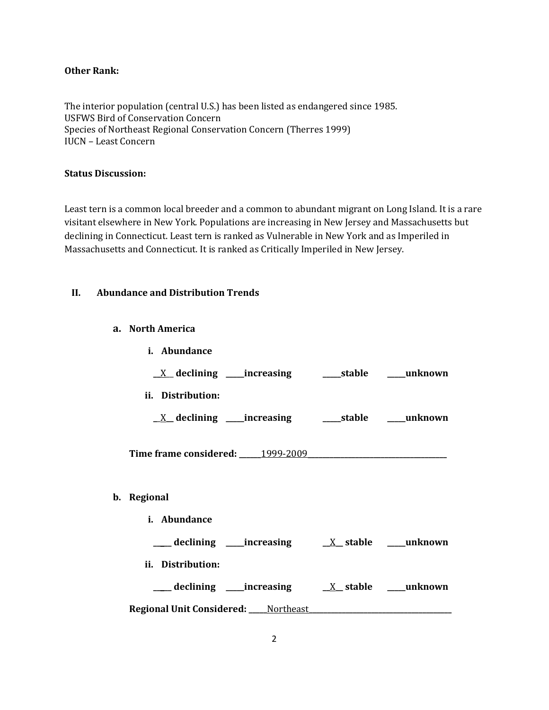# **Other Rank:**

The interior population (central U.S.) has been listed as endangered since 1985. USFWS Bird of Conservation Concern Species of Northeast Regional Conservation Concern (Therres 1999) IUCN – Least Concern

#### **Status Discussion:**

Least tern is a common local breeder and a common to abundant migrant on Long Island. It is a rare visitant elsewhere in New York. Populations are increasing in New Jersey and Massachusetts but declining in Connecticut. Least tern is ranked as Vulnerable in New York and as Imperiled in Massachusetts and Connecticut. It is ranked as Critically Imperiled in New Jersey.

# **II. Abundance and Distribution Trends**

**a. North America**

**b. Regional**

| i. Abundance                                                 |  |
|--------------------------------------------------------------|--|
|                                                              |  |
| ii. Distribution:                                            |  |
| <u>X</u> declining ____increasing _______stable _____unknown |  |
| Time frame considered: 1999-2009                             |  |
|                                                              |  |
| Regional                                                     |  |
| <i>i.</i> Abundance                                          |  |
|                                                              |  |
| ii. Distribution:                                            |  |
|                                                              |  |
| <b>Regional Unit Considered:</b> ____Northeast               |  |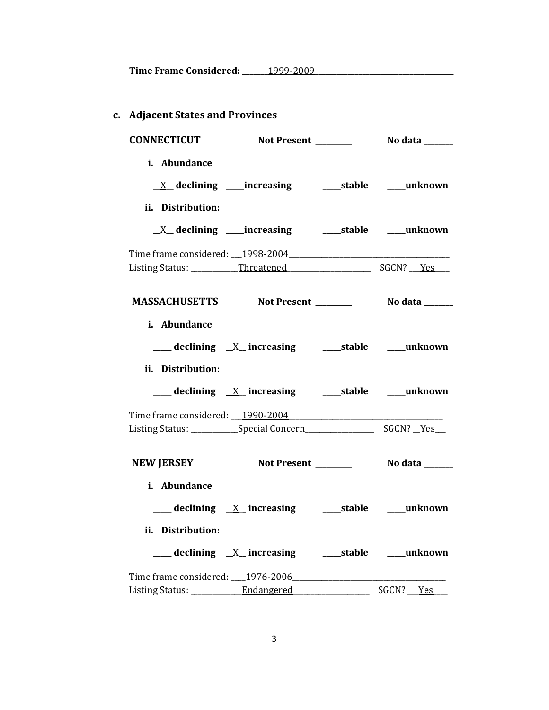**Time Frame Considered: \_\_\_\_\_\_\_**1999-2009**\_\_\_\_\_\_\_\_\_\_\_\_\_\_\_\_\_\_\_\_\_\_\_\_\_\_\_\_\_\_\_\_\_\_\_\_\_\_**

# **c. Adjacent States and Provinces**

| <b>CONNECTICUT</b>               |                                                            |                 |
|----------------------------------|------------------------------------------------------------|-----------------|
| i. Abundance                     |                                                            |                 |
|                                  |                                                            |                 |
| ii. Distribution:                |                                                            |                 |
|                                  | <u>X</u> declining ____increasing ______stable ____unknown |                 |
| Time frame considered: 1998-2004 |                                                            |                 |
|                                  |                                                            |                 |
|                                  |                                                            |                 |
| i. Abundance                     |                                                            |                 |
|                                  |                                                            |                 |
| ii. Distribution:                |                                                            |                 |
|                                  |                                                            |                 |
|                                  |                                                            |                 |
|                                  |                                                            |                 |
| NEW JERSEY Not Present _______   |                                                            | No data _______ |
| i. Abundance                     |                                                            |                 |
|                                  |                                                            |                 |
| ii. Distribution:                |                                                            |                 |
|                                  |                                                            |                 |
| Time frame considered: 1976-2006 |                                                            |                 |
|                                  |                                                            |                 |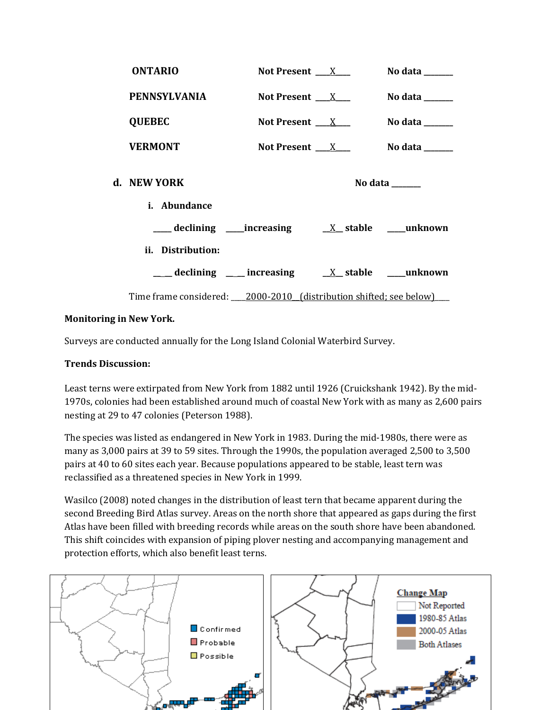| <b>ONTARIO</b>                                                            | Not Present $\_\_X$      | No data $\_\_$                                                              |
|---------------------------------------------------------------------------|--------------------------|-----------------------------------------------------------------------------|
| <b>PENNSYLVANIA</b>                                                       | Not Present X            | No data $\frac{1}{\sqrt{1-\frac{1}{2}}\cdot\frac{1}{\sqrt{1-\frac{1}{2}}}}$ |
| <b>QUEBEC</b>                                                             | Not Present $\_\_X$      | No data $\_\_$                                                              |
| <b>VERMONT</b>                                                            | Not Present $\mathbf{X}$ | No data $\_\_$                                                              |
| d. NEW YORK                                                               |                          | No data $\_\_\_\_\_\_\_\_\_\_\_\$                                           |
| i. Abundance                                                              |                          |                                                                             |
|                                                                           |                          |                                                                             |
| ii. Distribution:                                                         |                          |                                                                             |
| $\frac{1}{2}$ declining ____ increasing ____ ___ ____ ____ ______ unknown |                          |                                                                             |
| Time frame considered: ___ 2000-2010 (distribution shifted; see below)    |                          |                                                                             |

# **Monitoring in New York.**

Surveys are conducted annually for the Long Island Colonial Waterbird Survey.

# **Trends Discussion:**

Least terns were extirpated from New York from 1882 until 1926 (Cruickshank 1942). By the mid-1970s, colonies had been established around much of coastal New York with as many as 2,600 pairs nesting at 29 to 47 colonies (Peterson 1988).

The species was listed as endangered in New York in 1983. During the mid-1980s, there were as many as 3,000 pairs at 39 to 59 sites. Through the 1990s, the population averaged 2,500 to 3,500 pairs at 40 to 60 sites each year. Because populations appeared to be stable, least tern was reclassified as a threatened species in New York in 1999.

Wasilco (2008) noted changes in the distribution of least tern that became apparent during the second Breeding Bird Atlas survey. Areas on the north shore that appeared as gaps during the first Atlas have been filled with breeding records while areas on the south shore have been abandoned. This shift coincides with expansion of piping plover nesting and accompanying management and protection efforts, which also benefit least terns.

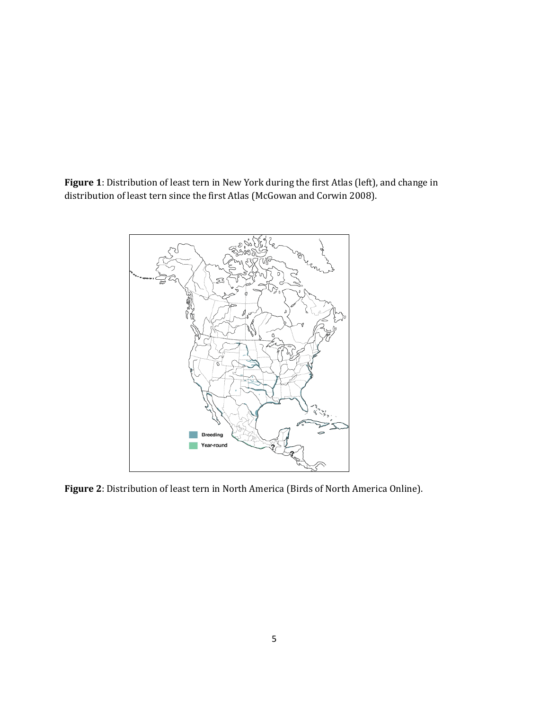**Figure 1**: Distribution of least tern in New York during the first Atlas (left), and change in distribution of least tern since the first Atlas (McGowan and Corwin 2008).



**Figure 2**: Distribution of least tern in North America (Birds of North America Online).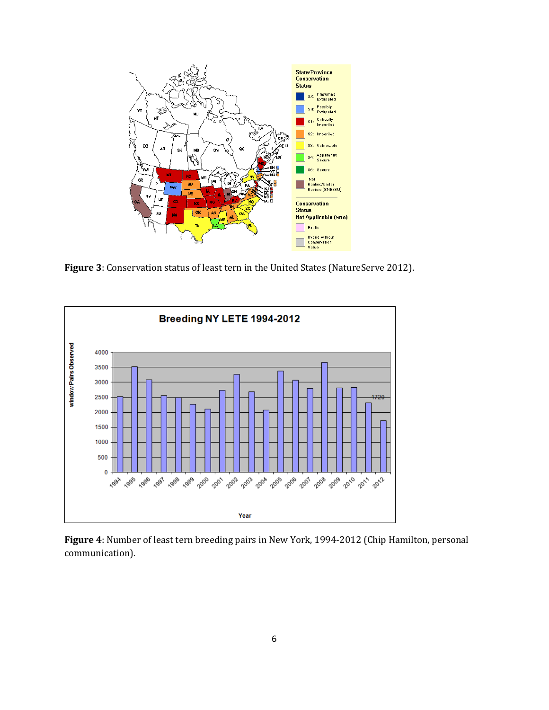

**Figure 3**: Conservation status of least tern in the United States (NatureServe 2012).



**Figure 4**: Number of least tern breeding pairs in New York, 1994-2012 (Chip Hamilton, personal communication).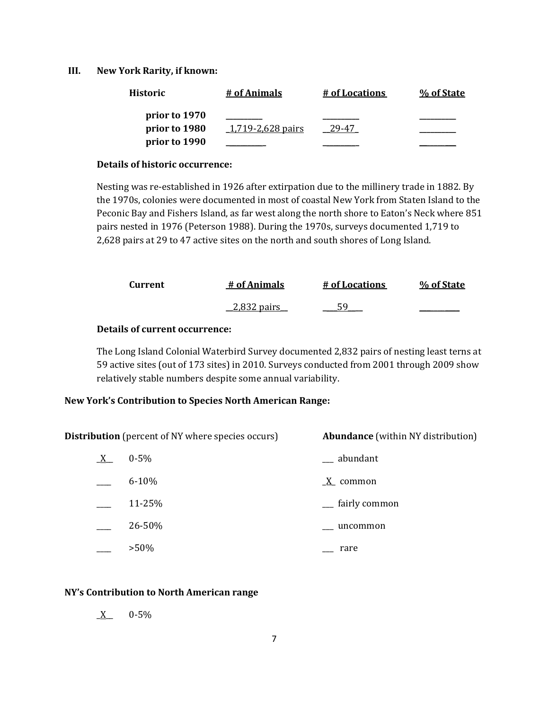#### **III. New York Rarity, if known:**

| <b>Historic</b> | # of Animals      | # of Locations | % of State |
|-----------------|-------------------|----------------|------------|
| prior to 1970   |                   |                |            |
| prior to 1980   | 1,719-2,628 pairs | 29-47          |            |
| prior to 1990   |                   |                |            |

#### **Details of historic occurrence:**

Nesting was re-established in 1926 after extirpation due to the millinery trade in 1882. By the 1970s, colonies were documented in most of coastal New York from Staten Island to the Peconic Bay and Fishers Island, as far west along the north shore to Eaton's Neck where 851 pairs nested in 1976 (Peterson 1988). During the 1970s, surveys documented 1,719 to 2,628 pairs at 29 to 47 active sites on the north and south shores of Long Island.

| Current | # of Animals                                      | # of Locations | % of State |
|---------|---------------------------------------------------|----------------|------------|
|         | $\frac{2.832 \text{ pairs}}{2.232 \text{ pairs}}$ |                |            |

#### **Details of current occurrence:**

The Long Island Colonial Waterbird Survey documented 2,832 pairs of nesting least terns at 59 active sites (out of 173 sites) in 2010. Surveys conducted from 2001 through 2009 show relatively stable numbers despite some annual variability.

### **New York's Contribution to Species North American Range:**

**Distribution** (percent of NY where species occurs) **Abundance** (within NY distribution)

| X | $0 - 5%$  | abundant      |
|---|-----------|---------------|
|   | $6 - 10%$ | X common      |
|   | 11-25%    | fairly common |
|   | 26-50%    | uncommon      |
|   | $>50\%$   | rare          |

#### **NY's Contribution to North American range**

 $X = 0.5\%$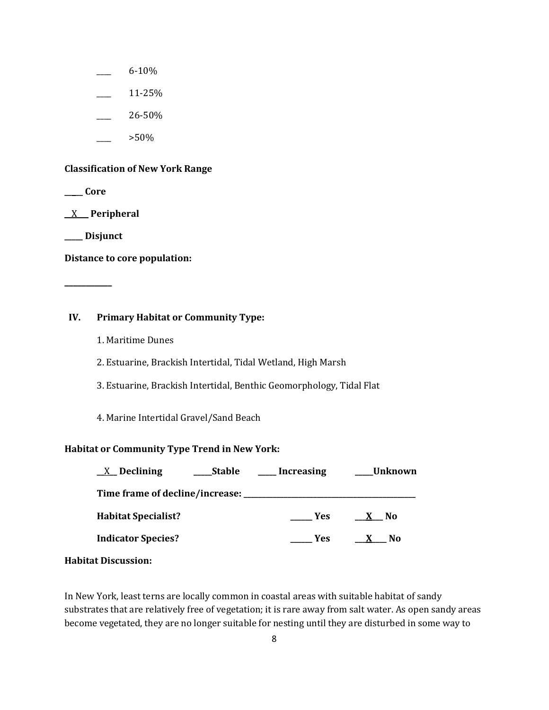- \_\_\_\_ 6-10%
- \_\_\_\_ 11-25%
- \_\_\_\_ 26-50%
- \_\_\_\_ >50%

#### **Classification of New York Range**

**\_\_\_\_\_ Core**

\_\_X\_\_\_ **Peripheral**

**\_\_\_\_\_ Disjunct**

**Distance to core population:**

**\_\_\_\_\_\_\_\_\_\_\_**

## **IV. Primary Habitat or Community Type:**

- 1. Maritime Dunes
- 2. Estuarine, Brackish Intertidal, Tidal Wetland, High Marsh
- 3. Estuarine, Brackish Intertidal, Benthic Geomorphology, Tidal Flat
- 4. Marine Intertidal Gravel/Sand Beach

## **Habitat or Community Type Trend in New York:**

| $X$ Declining              | ___Stable | __ Increasing | Unknown            |
|----------------------------|-----------|---------------|--------------------|
|                            |           |               |                    |
| <b>Habitat Specialist?</b> |           | Yes           | X No               |
| <b>Indicator Species?</b>  |           | Yes           | $\mathbf{X}$<br>N0 |
|                            |           |               |                    |

**Habitat Discussion:**

In New York, least terns are locally common in coastal areas with suitable habitat of sandy substrates that are relatively free of vegetation; it is rare away from salt water. As open sandy areas become vegetated, they are no longer suitable for nesting until they are disturbed in some way to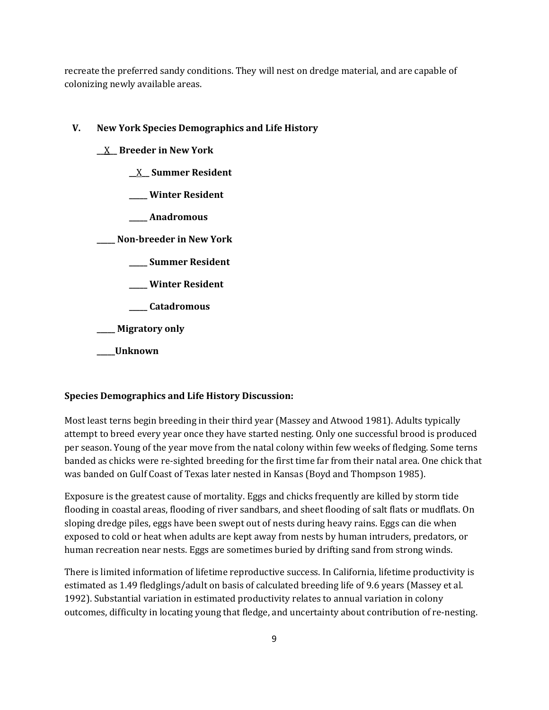recreate the preferred sandy conditions. They will nest on dredge material, and are capable of colonizing newly available areas.

# **V. New York Species Demographics and Life History**

- **\_\_**X**\_\_ Breeder in New York**
	- **\_\_**X**\_\_ Summer Resident**
	- **\_\_\_\_\_ Winter Resident**
	- **\_\_\_\_\_ Anadromous**

**\_\_\_\_\_ Non-breeder in New York**

- **\_\_\_\_\_ Summer Resident**
- **\_\_\_\_\_ Winter Resident**
- **\_\_\_\_\_ Catadromous**

**\_\_\_\_\_ Migratory only**

**\_\_\_\_\_Unknown**

# **Species Demographics and Life History Discussion:**

Most least terns begin breeding in their third year (Massey and Atwood 1981). Adults typically attempt to breed every year once they have started nesting. Only one successful brood is produced per season. Young of the year move from the natal colony within few weeks of fledging. Some terns banded as chicks were re-sighted breeding for the first time far from their natal area. One chick that was banded on Gulf Coast of Texas later nested in Kansas (Boyd and Thompson 1985).

Exposure is the greatest cause of mortality. Eggs and chicks frequently are killed by storm tide flooding in coastal areas, flooding of river sandbars, and sheet flooding of salt flats or mudflats. On sloping dredge piles, eggs have been swept out of nests during heavy rains. Eggs can die when exposed to cold or heat when adults are kept away from nests by human intruders, predators, or human recreation near nests. Eggs are sometimes buried by drifting sand from strong winds.

There is limited information of lifetime reproductive success. In California, lifetime productivity is estimated as 1.49 fledglings/adult on basis of calculated breeding life of 9.6 years (Massey et al. 1992). Substantial variation in estimated productivity relates to annual variation in colony outcomes, difficulty in locating young that fledge, and uncertainty about contribution of re-nesting.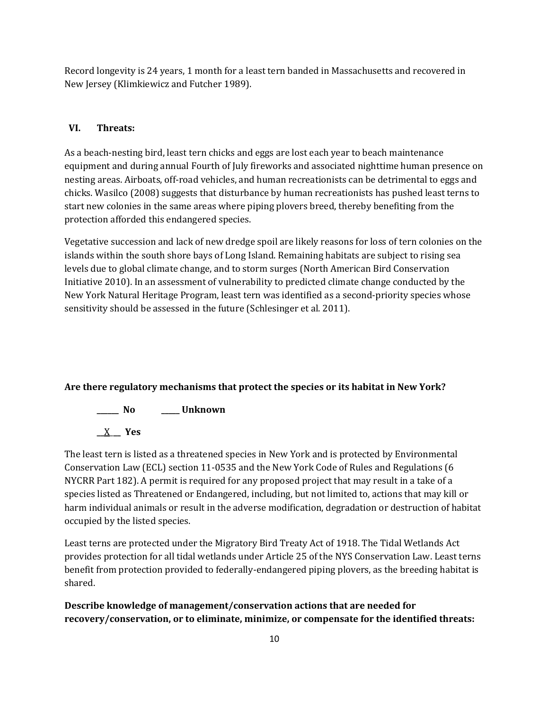Record longevity is 24 years, 1 month for a least tern banded in Massachusetts and recovered in New Jersey (Klimkiewicz and Futcher 1989).

# **VI. Threats:**

As a beach-nesting bird, least tern chicks and eggs are lost each year to beach maintenance equipment and during annual Fourth of July fireworks and associated nighttime human presence on nesting areas. Airboats, off-road vehicles, and human recreationists can be detrimental to eggs and chicks. Wasilco (2008) suggests that disturbance by human recreationists has pushed least terns to start new colonies in the same areas where piping plovers breed, thereby benefiting from the protection afforded this endangered species.

Vegetative succession and lack of new dredge spoil are likely reasons for loss of tern colonies on the islands within the south shore bays of Long Island. Remaining habitats are subject to rising sea levels due to global climate change, and to storm surges (North American Bird Conservation Initiative 2010). In an assessment of vulnerability to predicted climate change conducted by the New York Natural Heritage Program, least tern was identified as a second-priority species whose sensitivity should be assessed in the future (Schlesinger et al. 2011).

# **Are there regulatory mechanisms that protect the species or its habitat in New York?**

**\_\_\_\_\_\_ No \_\_\_\_\_ Unknown**

**\_\_**X\_**\_\_ Yes** 

The least tern is listed as a threatened species in New York and is protected by Environmental Conservation Law (ECL) section 11-0535 and the New York Code of Rules and Regulations (6 NYCRR Part 182). A permit is required for any proposed project that may result in a take of a species listed as Threatened or Endangered, including, but not limited to, actions that may kill or harm individual animals or result in the adverse modification, degradation or destruction of habitat occupied by the listed species.

Least terns are protected under the Migratory Bird Treaty Act of 1918. The Tidal Wetlands Act provides protection for all tidal wetlands under Article 25 of the NYS Conservation Law. Least terns benefit from protection provided to federally-endangered piping plovers, as the breeding habitat is shared.

**Describe knowledge of management/conservation actions that are needed for recovery/conservation, or to eliminate, minimize, or compensate for the identified threats:**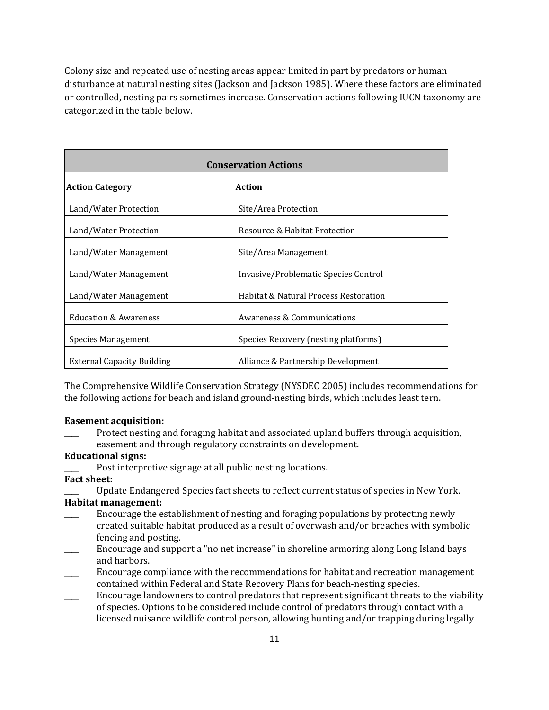Colony size and repeated use of nesting areas appear limited in part by predators or human disturbance at natural nesting sites (Jackson and Jackson 1985). Where these factors are eliminated or controlled, nesting pairs sometimes increase. Conservation actions following IUCN taxonomy are categorized in the table below.

| <b>Conservation Actions</b>       |                                       |  |
|-----------------------------------|---------------------------------------|--|
| <b>Action Category</b>            | <b>Action</b>                         |  |
| Land/Water Protection             | Site/Area Protection                  |  |
| Land/Water Protection             | Resource & Habitat Protection         |  |
| Land/Water Management             | Site/Area Management                  |  |
| Land/Water Management             | Invasive/Problematic Species Control  |  |
| Land/Water Management             | Habitat & Natural Process Restoration |  |
| <b>Education &amp; Awareness</b>  | Awareness & Communications            |  |
| Species Management                | Species Recovery (nesting platforms)  |  |
| <b>External Capacity Building</b> | Alliance & Partnership Development    |  |

The Comprehensive Wildlife Conservation Strategy (NYSDEC 2005) includes recommendations for the following actions for beach and island ground-nesting birds, which includes least tern.

#### **Easement acquisition:**

Protect nesting and foraging habitat and associated upland buffers through acquisition, easement and through regulatory constraints on development.

#### **Educational signs:**

- Post interpretive signage at all public nesting locations.
- **Fact sheet:**

\_\_\_\_ Update Endangered Species fact sheets to reflect current status of species in New York. **Habitat management:**

- Encourage the establishment of nesting and foraging populations by protecting newly created suitable habitat produced as a result of overwash and/or breaches with symbolic fencing and posting.
- \_\_\_\_ Encourage and support a "no net increase" in shoreline armoring along Long Island bays and harbors.
- Encourage compliance with the recommendations for habitat and recreation management contained within Federal and State Recovery Plans for beach-nesting species.
- Encourage landowners to control predators that represent significant threats to the viability of species. Options to be considered include control of predators through contact with a licensed nuisance wildlife control person, allowing hunting and/or trapping during legally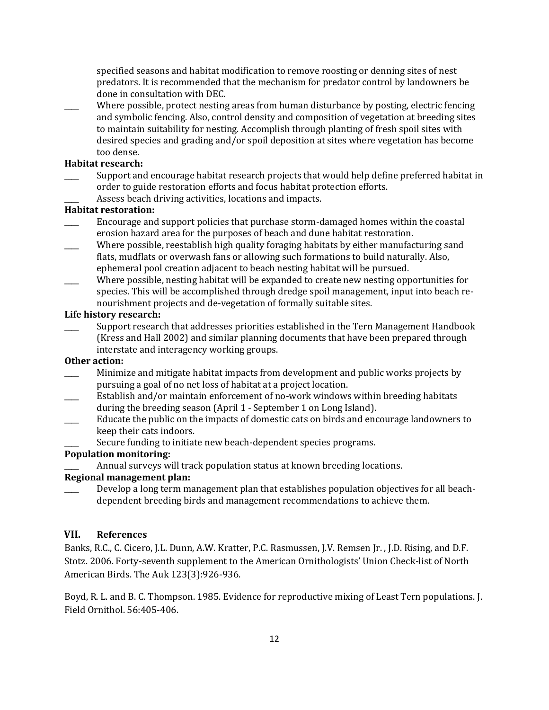specified seasons and habitat modification to remove roosting or denning sites of nest predators. It is recommended that the mechanism for predator control by landowners be done in consultation with DEC.

Where possible, protect nesting areas from human disturbance by posting, electric fencing and symbolic fencing. Also, control density and composition of vegetation at breeding sites to maintain suitability for nesting. Accomplish through planting of fresh spoil sites with desired species and grading and/or spoil deposition at sites where vegetation has become too dense.

#### **Habitat research:**

- Support and encourage habitat research projects that would help define preferred habitat in order to guide restoration efforts and focus habitat protection efforts.
	- Assess beach driving activities, locations and impacts.

## **Habitat restoration:**

- Encourage and support policies that purchase storm-damaged homes within the coastal erosion hazard area for the purposes of beach and dune habitat restoration.
- Where possible, reestablish high quality foraging habitats by either manufacturing sand flats, mudflats or overwash fans or allowing such formations to build naturally. Also, ephemeral pool creation adjacent to beach nesting habitat will be pursued.
- Where possible, nesting habitat will be expanded to create new nesting opportunities for species. This will be accomplished through dredge spoil management, input into beach renourishment projects and de-vegetation of formally suitable sites.

#### **Life history research:**

\_\_\_\_ Support research that addresses priorities established in the Tern Management Handbook (Kress and Hall 2002) and similar planning documents that have been prepared through interstate and interagency working groups.

## **Other action:**

- \_\_\_\_ Minimize and mitigate habitat impacts from development and public works projects by pursuing a goal of no net loss of habitat at a project location.
- Establish and/or maintain enforcement of no-work windows within breeding habitats during the breeding season (April 1 - September 1 on Long Island).
- Educate the public on the impacts of domestic cats on birds and encourage landowners to keep their cats indoors.
- Secure funding to initiate new beach-dependent species programs.

## **Population monitoring:**

Annual surveys will track population status at known breeding locations.

## **Regional management plan:**

Develop a long term management plan that establishes population objectives for all beachdependent breeding birds and management recommendations to achieve them.

# **VII. References**

Banks, R.C., C. Cicero, J.L. Dunn, A.W. Kratter, P.C. Rasmussen, J.V. Remsen Jr. , J.D. Rising, and D.F. Stotz. 2006. Forty-seventh supplement to the American Ornithologists' Union Check-list of North American Birds. The Auk 123(3):926-936.

Boyd, R. L. and B. C. Thompson. 1985. Evidence for reproductive mixing of Least Tern populations. J. Field Ornithol. 56:405-406.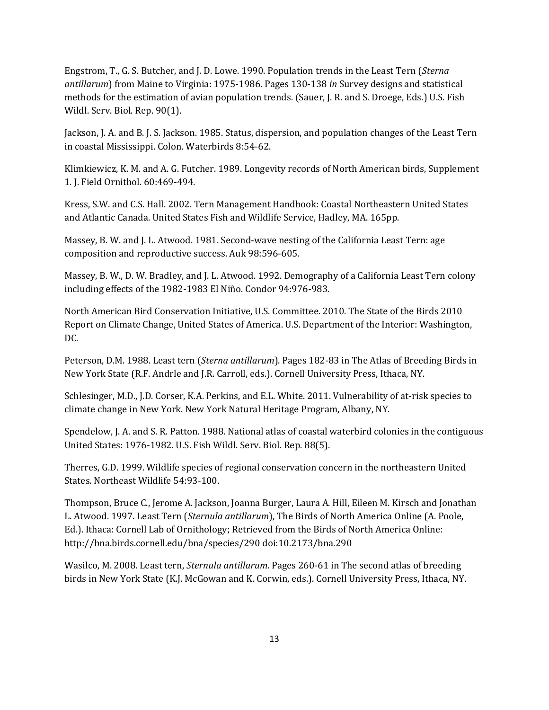Engstrom, T., G. S. Butcher, and J. D. Lowe. 1990. Population trends in the Least Tern (*Sterna antillarum*) from Maine to Virginia: 1975-1986. Pages 130-138 *in* Survey designs and statistical methods for the estimation of avian population trends. (Sauer, J. R. and S. Droege, Eds.) U.S. Fish Wildl. Serv. Biol. Rep. 90(1).

Jackson, J. A. and B. J. S. Jackson. 1985. Status, dispersion, and population changes of the Least Tern in coastal Mississippi. Colon. Waterbirds 8:54-62.

Klimkiewicz, K. M. and A. G. Futcher. 1989. Longevity records of North American birds, Supplement 1. J. Field Ornithol. 60:469-494.

Kress, S.W. and C.S. Hall. 2002. Tern Management Handbook: Coastal Northeastern United States and Atlantic Canada. United States Fish and Wildlife Service, Hadley, MA. 165pp.

Massey, B. W. and J. L. Atwood. 1981. Second-wave nesting of the California Least Tern: age composition and reproductive success. Auk 98:596-605.

Massey, B. W., D. W. Bradley, and J. L. Atwood. 1992. Demography of a California Least Tern colony including effects of the 1982-1983 El Niño. Condor 94:976-983.

North American Bird Conservation Initiative, U.S. Committee. 2010. The State of the Birds 2010 Report on Climate Change, United States of America. U.S. Department of the Interior: Washington, DC.

Peterson, D.M. 1988. Least tern (*Sterna antillarum*). Pages 182-83 in The Atlas of Breeding Birds in New York State (R.F. Andrle and J.R. Carroll, eds.). Cornell University Press, Ithaca, NY.

Schlesinger, M.D., J.D. Corser, K.A. Perkins, and E.L. White. 2011. Vulnerability of at-risk species to climate change in New York. New York Natural Heritage Program, Albany, NY.

Spendelow, J. A. and S. R. Patton. 1988. National atlas of coastal waterbird colonies in the contiguous United States: 1976-1982. U.S. Fish Wildl. Serv. Biol. Rep. 88(5).

Therres, G.D. 1999. Wildlife species of regional conservation concern in the northeastern United States. Northeast Wildlife 54:93-100.

Thompson, Bruce C., Jerome A. Jackson, Joanna Burger, Laura A. Hill, Eileen M. Kirsch and Jonathan L. Atwood. 1997. Least Tern (*Sternula antillarum*), The Birds of North America Online (A. Poole, Ed.). Ithaca: Cornell Lab of Ornithology; Retrieved from the Birds of North America Online: <http://bna.birds.cornell.edu/bna/species/290> [doi:10.2173/bna.290](http://dx.doi.org/10.2173/bna.290)

Wasilco, M. 2008. Least tern, *Sternula antillarum*. Pages 260-61 in The second atlas of breeding birds in New York State (K.J. McGowan and K. Corwin, eds.). Cornell University Press, Ithaca, NY.